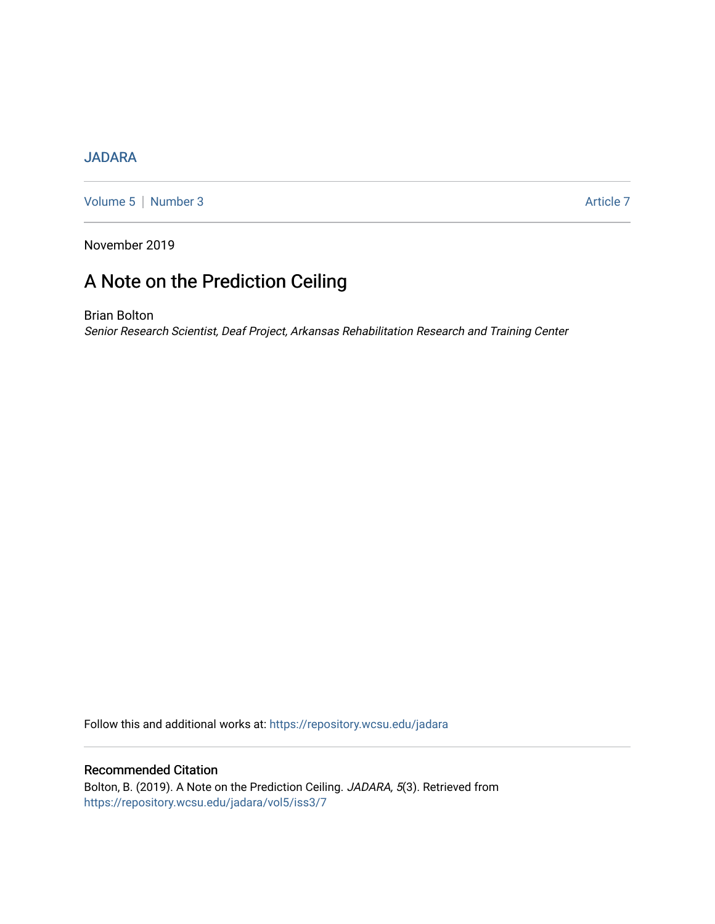# [JADARA](https://repository.wcsu.edu/jadara)

[Volume 5](https://repository.wcsu.edu/jadara/vol5) | [Number 3](https://repository.wcsu.edu/jadara/vol5/iss3) Article 7

November 2019

# A Note on the Prediction Ceiling

Brian Bolton Senior Research Scientist, Deaf Project, Arkansas Rehabilitation Research and Training Center

Follow this and additional works at: [https://repository.wcsu.edu/jadara](https://repository.wcsu.edu/jadara?utm_source=repository.wcsu.edu%2Fjadara%2Fvol5%2Fiss3%2F7&utm_medium=PDF&utm_campaign=PDFCoverPages)

Recommended Citation Bolton, B. (2019). A Note on the Prediction Ceiling. JADARA, 5(3). Retrieved from [https://repository.wcsu.edu/jadara/vol5/iss3/7](https://repository.wcsu.edu/jadara/vol5/iss3/7?utm_source=repository.wcsu.edu%2Fjadara%2Fvol5%2Fiss3%2F7&utm_medium=PDF&utm_campaign=PDFCoverPages)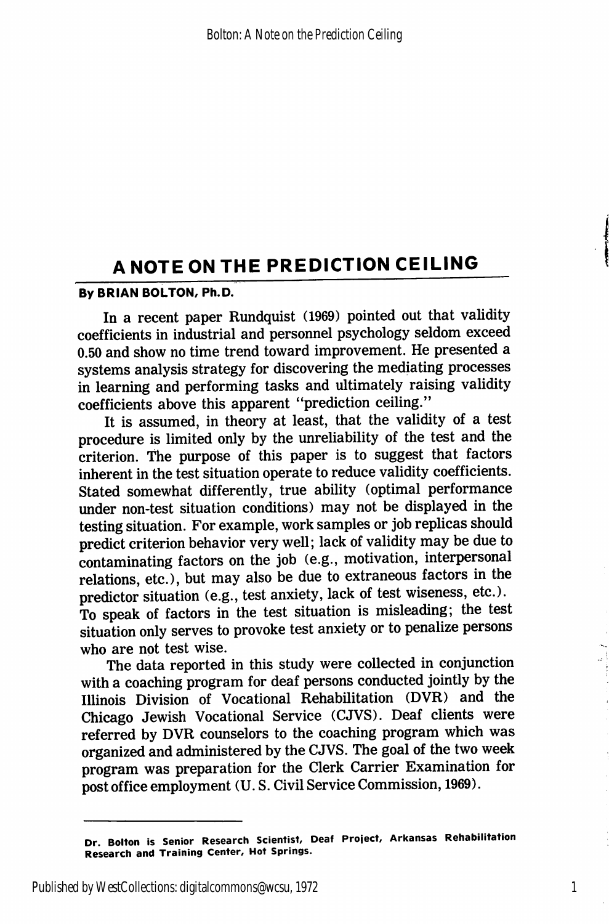# A NOTE ON THE PREDICTION CEILING

#### By BRIAN BOLTON, Ph.D.

In a recent paper Rundquist (1969) pointed out that validity coefficients in industrial and personnel psychology seldom exceed 0.50 and show no time trend toward improvement. He presented a systems analysis strategy for discovering the mediating processes in learning and performing tasks and ultimately raising validity coefficients above this apparent "prediction ceiling."

It is assumed, in theory at least, that the validity of a test procedure is limited only by the unreliability of the test and the criterion. The purpose of this paper is to suggest that factors inherent in the test situation operate to reduce validity coefficients. Stated somewhat differently, true ability (optimal performance under non-test situation conditions) may not be displayed in the testing situation. For example, work samples or job replicas should predict criterion behavior very well; lack of validity may be due to contaminating factors on the job (e.g., motivation, interpersonal relations, etc.), but may also be due to extraneous factors in the predictor situation (e.g., test anxiety, lack of test wiseness, etc.). To speak of factors in the test situation is misleading; the test situation only serves to provoke test anxiety or to penalize persons who are not test wise.

The data reported in this study were collected in conjunction with a coaching program for deaf persons conducted jointly by the lUinois Division of Vocational Rehabilitation (DVR) and the Chicago Jewish Vocational Service (CJVS). Deaf clients were referred by DVR counselors to the coaching program which was organized and administered by the CJVS. The goal of the two week program was preparation for the Clerk Carrier Examination for post office employment (U. S. Civil Service Commission, 1969).

Dr. Bolton is Senior Research Scientist, Deaf Project, Arkansas Rehabilitation Research and Training Center, Hot Springs.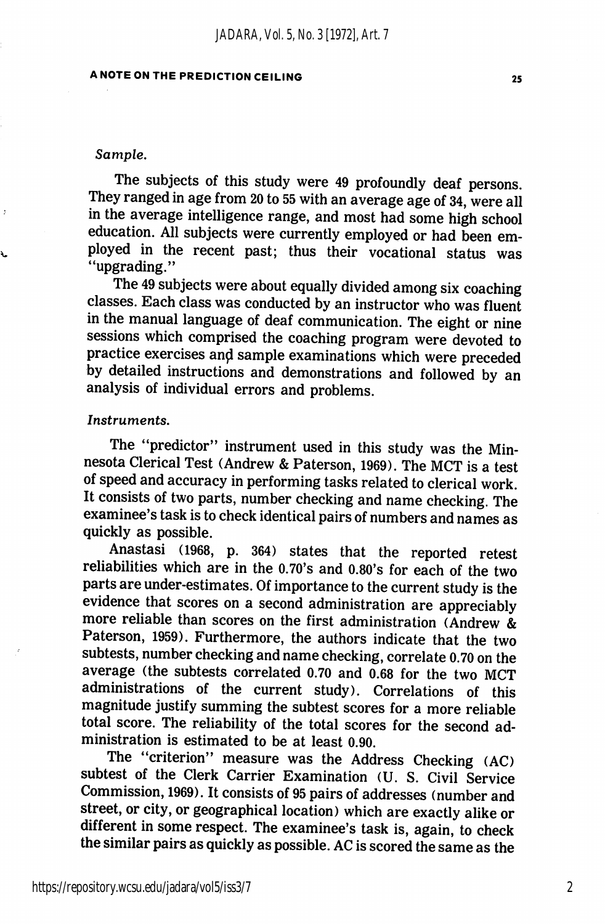### A NOTE ON THE PREDICTION CEILING 25

#### Sample.

à.

The subjects of this study were 49 profoundly deaf persons. They ranged in age from 20 to 55 with an average age of 34, were all in the average intelligence range, and most had some high school education. All subjects were currently employed or had been employed in the recent past; thus their vocational status was "upgrading."

The 49 subjects were about equally divided among six coaching classes. Each class was conducted by an instructor who was fluent in the manual language of deaf communication. The eight or nine sessions which comprised the coaching program were devoted to practice exercises and sample examinations which were preceded by detailed instructions and demonstrations and followed by an analysis of individual errors and problems.

#### Instruments.

The "predictor" instrument used in this study was the Minnesota Clerical Test (Andrew & Paterson, 1969). The MCT is a test of speed and accuracy in performing tasks related to clerical work. It consists of two parts, number checking and name checking. The examinee's task is to check identical pairs of numbers and names as quickly as possible.

Anastasi (1968, p. 364) states that the reported retest reliabilities which are in the 0.70's and 0.80's for each of the two parts are under-estimates. Of importance to the current study is the evidence that scores on a second administration are appreciably more reliable than scores on the first administration (Andrew & Paterson, 1959). Furthermore, the authors indicate that the two subtests, number checking and name checking, correlate 0.70 on the average (the subtests correlated 0.70 and 0.68 for the two MCT administrations of the current study). Correlations of this magnitude justify summing the subtest scores for a more reliable total score. The reliability of the total scores for the second ad ministration is estimated to be at least 0.90.

The "criterion" measure was the Address Checking (AC) subtest of the Clerk Carrier Examination (U. S. Civil Service Commission, 1969). It consists of 95 pairs of addresses (number and street, or city, or geographical location) which are exactly alike or different in some respect. The examinee's task is, again, to check the similar pairs as quickly as possible. AC is scored the same as the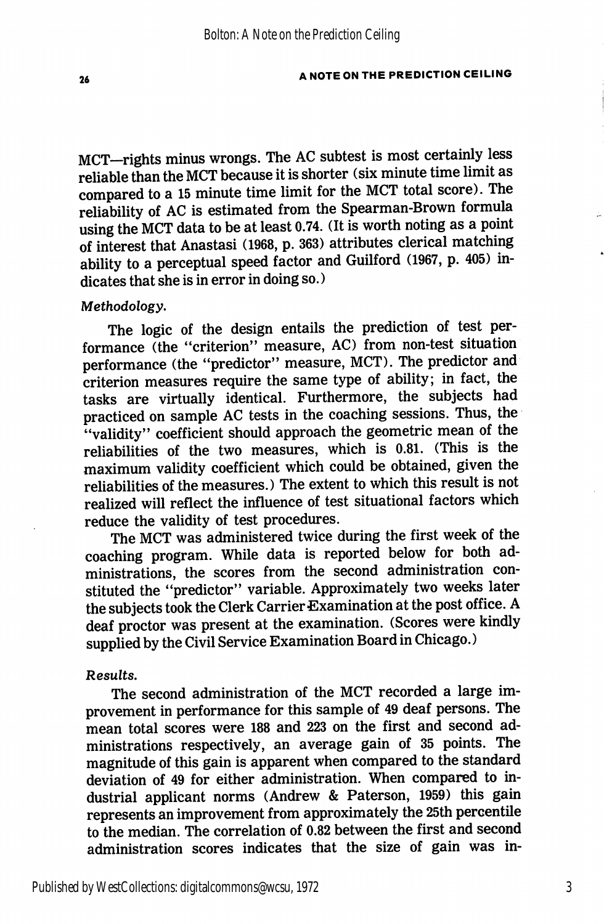MCT-rights minus wrongs. The AC subtest is most certainly less reliable than the MCT because it is shorter (six minute time limit as compared to a 15 minute time limit for the MCT total score). The reliability of AC is estimated from the Spearman-Brown formula using the MCT data to be at least 0.74. (It is worth noting as a point of interest that Anastasi (1968, p. 363) attributes clerical matching ability to a perceptual speed factor and Guilford (1967, p. 405) in dicates that she is in error in doing so.)

#### Methodology,

The logic of the design entails the prediction of test per formance (the "criterion" measure, AC) from non-test situation performance (the "predictor" measure, MCT). The predictor and criterion measures require the same type of ability; in fact, the tasks are virtually identical. Furthermore, the subjects had practiced on sample AC tests in the coaching sessions. Thus, the "validity" coefficient should approach the geometric mean of the reliabilities of the two measures, which is 0.81. (This is the maximum validity coefficient which could be obtained, given the reliabilities of the measures.) The extent to which this result is not realized will reflect the influence of test situational factors which reduce the validity of test procedures.

The MCT was administered twice during the first week of the coaching program. While data is reported below for both ad ministrations, the scores from the second administration con stituted the "predictor" variable. Approximately two weeks later the subjects took the Clerk Carrier Examination at the post office. A deaf proctor was present at the examination. (Scores were kindly supplied by the Civil Service Examination Board in Chicago.)

#### Results.

The second administration of the MCT recorded a large im provement in performance for this sample of 49 deaf persons. The mean total scores were 188 and 223 on the first and second ad ministrations respectively, an average gain of 35 points. The magnitude of this gain is apparent when compared to the standard deviation of 49 for either administration. When compared to in dustrial applicant norms (Andrew & Paterson, 1959) this gain represents an improvement from approximately the 25th percentile to the median. The correlation of 0.82 between the first and second administration scores indicates that the size of gain was in-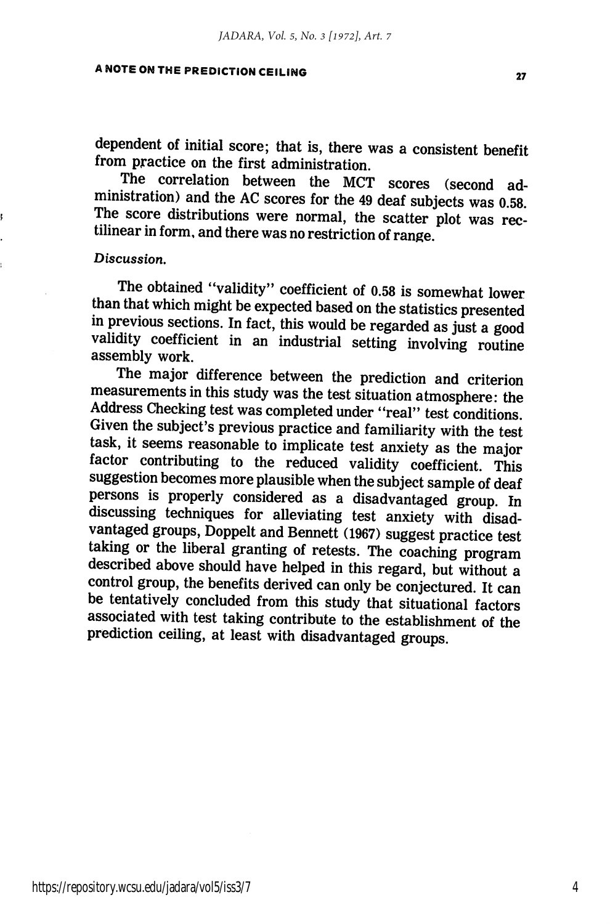## A NOTE ON THE PREDICTION CEILING 27

dependent of initial score; that is, there was a consistent benefit from practice on the first administration.

The correlation between the MCT scores (second ad ministration) and the AC scores for the 49 deaf subjects was 0.58. The score distributions were normal, the scatter plot was rec tilinear in form, and there was no restriction of range.

#### Discussion,

The obtained "validity'' coefficient of 0.58 is somewhat lower than that which might be expected based on the statistics presented in previous sections. In fact, this would be regarded as just a good validity coefficient in an industrial setting involving routine assembly work.

The major difference between the prediction and criterion measurements in this study was the test situation atmosphere: the Address Checking test was completed under "real" test conditions. Given the subject's previous practice and familiarity with the test task, it seems reasonable to implicate test anxiety as the major factor contributing to the reduced validity coefficient. This suggestion becomes more plausible when the subject sample of deaf persons is properly considered as a disadvantaged group. In discussing techniques for alleviating test anxiety with disad vantaged groups, Doppelt and Bennett (1967) suggest practice test taking or the liberal granting of retests. The coaching program described above should have helped in this regard, but without a control group, the benefits derived can only be conjectured. It can be tentatively concluded from this study that situational factors associated with test taking contribute to the establishment of the prediction ceiling, at least with disadvantaged groups.